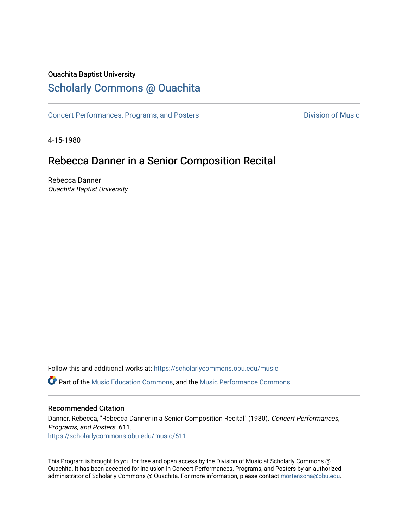## Ouachita Baptist University

# [Scholarly Commons @ Ouachita](https://scholarlycommons.obu.edu/)

[Concert Performances, Programs, and Posters](https://scholarlycommons.obu.edu/music) **Division of Music** Division of Music

4-15-1980

# Rebecca Danner in a Senior Composition Recital

Rebecca Danner Ouachita Baptist University

Follow this and additional works at: [https://scholarlycommons.obu.edu/music](https://scholarlycommons.obu.edu/music?utm_source=scholarlycommons.obu.edu%2Fmusic%2F611&utm_medium=PDF&utm_campaign=PDFCoverPages)  **C** Part of the [Music Education Commons,](http://network.bepress.com/hgg/discipline/1246?utm_source=scholarlycommons.obu.edu%2Fmusic%2F611&utm_medium=PDF&utm_campaign=PDFCoverPages) and the Music Performance Commons

#### Recommended Citation

Danner, Rebecca, "Rebecca Danner in a Senior Composition Recital" (1980). Concert Performances, Programs, and Posters. 611. [https://scholarlycommons.obu.edu/music/611](https://scholarlycommons.obu.edu/music/611?utm_source=scholarlycommons.obu.edu%2Fmusic%2F611&utm_medium=PDF&utm_campaign=PDFCoverPages) 

This Program is brought to you for free and open access by the Division of Music at Scholarly Commons @ Ouachita. It has been accepted for inclusion in Concert Performances, Programs, and Posters by an authorized administrator of Scholarly Commons @ Ouachita. For more information, please contact [mortensona@obu.edu](mailto:mortensona@obu.edu).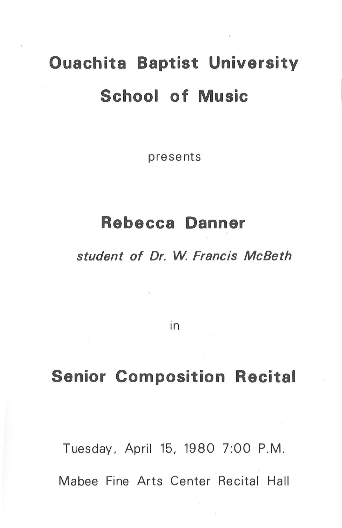# **Ouachita Baptist University School of Music**

presents

# **Rebecca Danner**

student of Dr. W. Francis McBeth

in

# **Senior Composition Recital**

Tuesday. April 15. 1980 7:00 P.M. Mabee Fine Arts Center Recital Hall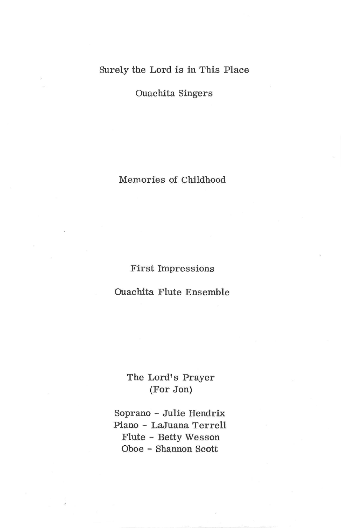## Surely the Lord is in This Place

Ouachita Singers

Memories of Childhood

First Impressions

Ouachita Flute Ensemble

## The Lord's Prayer (For Jon)

Soprano - Julie Hendrix Piano - LaJuana Terrell Flute - Betty Wesson Oboe - Shannon Scott